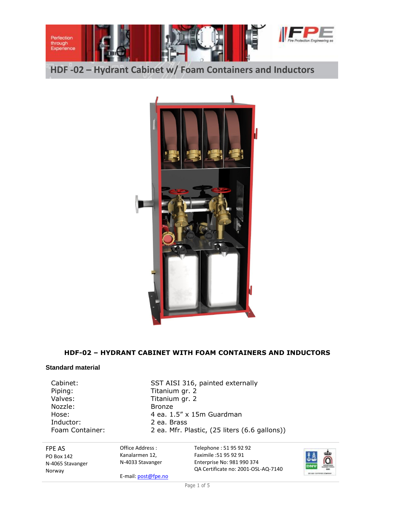

**HDF -02 – Hydrant Cabinet w/ Foam Containers and Inductors**



# **HDF-02 – HYDRANT CABINET WITH FOAM CONTAINERS AND INDUCTORS**

#### **Standard material**

Piping: Titanium gr. 2 Valves: Titanium gr. 2 Nozzle: Bronze Inductor: 2 ea. Brass

Cabinet: SST AISI 316, painted externally Hose: 4 ea. 1.5" x 15m Guardman Foam Container: 2 ea. Mfr. Plastic, (25 liters (6.6 gallons))

FPE AS PO Box 142 N-4065 Stavanger Norway

Office Address : Kanalarmen 12, N-4033 Stavanger

E-mail: post@fpe.no

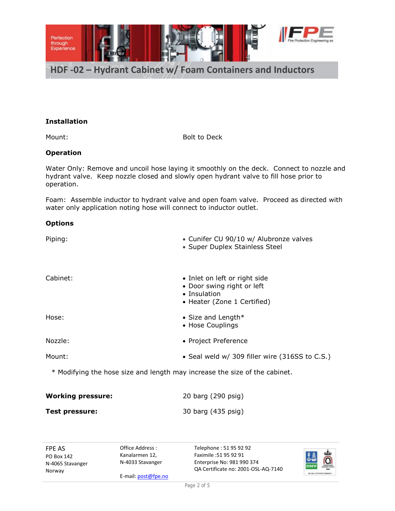

# **Installation**

Mount: Bolt to Deck

# **Operation**

Water Only: Remove and uncoil hose laying it smoothly on the deck. Connect to nozzle and hydrant valve. Keep nozzle closed and slowly open hydrant valve to fill hose prior to operation.

Foam: Assemble inductor to hydrant valve and open foam valve. Proceed as directed with water only application noting hose will connect to inductor outlet.

#### **Options**

| Piping:  | • Cunifer CU 90/10 w/ Alubronze valves<br>• Super Duplex Stainless Steel                                   |
|----------|------------------------------------------------------------------------------------------------------------|
| Cabinet: | • Inlet on left or right side<br>• Door swing right or left<br>• Insulation<br>• Heater (Zone 1 Certified) |
| Hose:    | • Size and Length $*$<br>• Hose Couplings                                                                  |
| Nozzle:  | • Project Preference                                                                                       |
| Mount:   | • Seal weld w/ 309 filler wire (316SS to C.S.)                                                             |
|          |                                                                                                            |

\* Modifying the hose size and length may increase the size of the cabinet.

| <b>Working pressure:</b> | 20 barg (290 psig) |
|--------------------------|--------------------|
| Test pressure:           | 30 barg (435 psig) |

FPE AS PO Box 142 N-4065 Stavanger Norway

Office Address : Kanalarmen 12, N-4033 Stavanger

E-mail: post@fpe.no

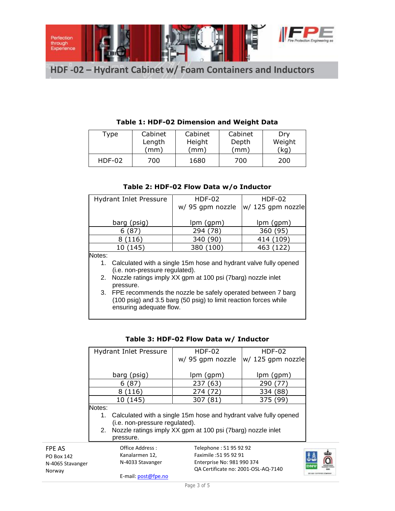

**HDF -02 – Hydrant Cabinet w/ Foam Containers and Inductors**

| Type     | Cabinet | Cabinet | Cabinet | Dry     |
|----------|---------|---------|---------|---------|
|          | Length  | Height  | Depth   | Weight  |
|          | (mm)    | mm)     | (mm)    | $'$ kg) |
| $HDF-02$ | 700     | 1680    | 700     | 200     |

# **Table 1: HDF-02 Dimension and Weight Data**

# **Table 2: HDF-02 Flow Data w/o Inductor**

|        | <b>Hydrant Inlet Pressure</b>                                                                                                      | <b>HDF-02</b>    | $HDF-02$          |  |  |
|--------|------------------------------------------------------------------------------------------------------------------------------------|------------------|-------------------|--|--|
|        |                                                                                                                                    | w/ 95 gpm nozzle | w/ 125 gpm nozzle |  |  |
|        |                                                                                                                                    |                  |                   |  |  |
|        | barg (psig)                                                                                                                        | lpm (gpm)        | lpm (gpm)         |  |  |
|        | 6(87)                                                                                                                              | 294 (78)         | 360 (95)          |  |  |
|        | 8(116)                                                                                                                             | 340 (90)         | (109)<br>414 (    |  |  |
|        | 10 (145)                                                                                                                           | 380 (100)        | 463 (122)         |  |  |
| Notes: |                                                                                                                                    |                  |                   |  |  |
| 1.     | Calculated with a single 15m hose and hydrant valve fully opened                                                                   |                  |                   |  |  |
|        | (i.e. non-pressure regulated).                                                                                                     |                  |                   |  |  |
| 2.     | Nozzle ratings imply XX gpm at 100 psi (7barg) nozzle inlet                                                                        |                  |                   |  |  |
|        | pressure.                                                                                                                          |                  |                   |  |  |
|        | 3. FPE recommends the nozzle be safely operated between 7 barg<br>(100 psig) and 3.5 barg (50 psig) to limit reaction forces while |                  |                   |  |  |
|        |                                                                                                                                    |                  |                   |  |  |
|        | ensuring adequate flow.                                                                                                            |                  |                   |  |  |

| <b>Hydrant Inlet Pressure</b> | <b>HDF-02</b>                                                    | <b>HDF-02</b>     |  |  |  |
|-------------------------------|------------------------------------------------------------------|-------------------|--|--|--|
|                               | w/ 95 gpm nozzle                                                 | w/ 125 gpm nozzle |  |  |  |
| barg (psig)                   | lpm (gpm)                                                        | lpm (gpm)         |  |  |  |
| 6(87)                         | 237 (63)                                                         | 290 (77)          |  |  |  |
| 8(116)                        | 274 (72)                                                         | 334 (88)          |  |  |  |
| 10 (145)                      | 307 (81)                                                         | 375 (99)          |  |  |  |
| Notes:                        |                                                                  |                   |  |  |  |
| 1.                            | Calculated with a single 15m hose and hydrant valve fully opened |                   |  |  |  |
|                               | (i.e. non-pressure regulated).                                   |                   |  |  |  |
|                               | 2. Nozzle ratings imply XX gpm at 100 psi (7barg) nozzle inlet   |                   |  |  |  |
| pressure.                     |                                                                  |                   |  |  |  |
| Office Address:               | Telephone: 51 95 92 92                                           |                   |  |  |  |

# **Table 3: HDF-02 Flow Data w/ Inductor**

FPE AS PO Box 142 N-4065 Stavanger Norway

Kanalarmen 12, N-4033 Stavanger E-mail: post@fpe.no

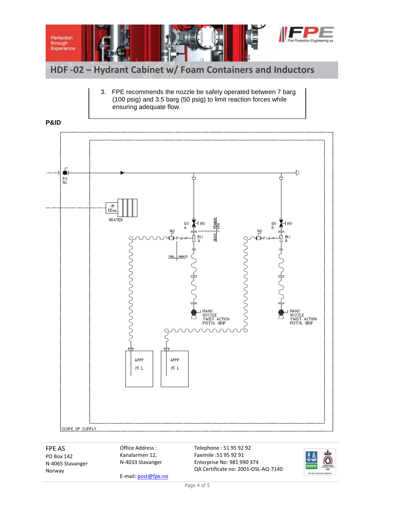

3. FPE recommends the nozzle be safely operated between 7 barg (100 psig) and 3.5 barg (50 psig) to limit reaction forces while ensuring adequate flow.



FPE AS PO Box 142 N-4065 Stavanger Norway

Office Address : Kanalarmen 12, N-4033 Stavanger